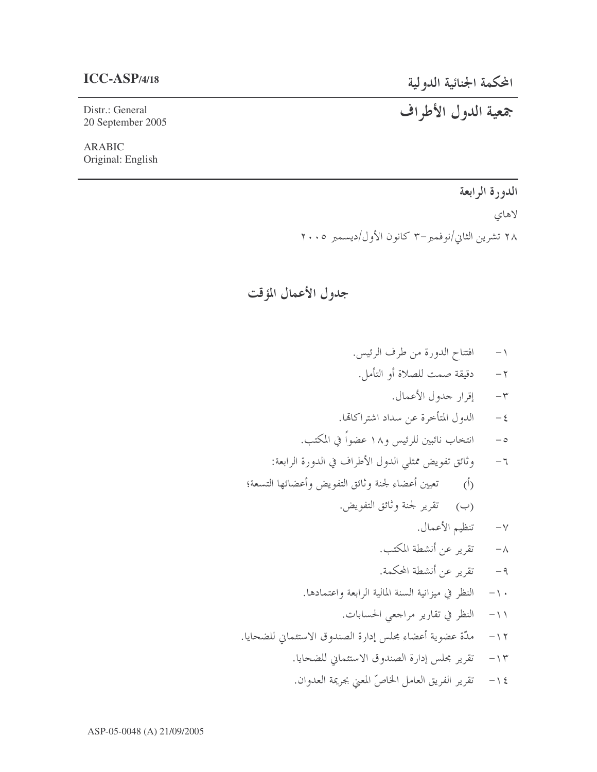## **ICC-ASP/4/18**

المحكمة الجنائية الدولية

جمعية الدول الأطراف

Distr.: General 20 September 2005

ARABIC Original: English

> الدورة الرابعة لاهاي ۲۸ تشرین الثاني/نوفمبر–۳ کانون الأول/دیسمبر ۲۰۰۵

جدول الأعمال المؤقت

١- افتتاح الدورة من طرف الرئيس. ٢- دقيقة صمت للصلاة أو التأمل. ٣- إقرار جدول الأعمال. الدول المتأخرة عن سداد اشتراكاتما.  $-\xi$ ه- انتخاب نائبين للرئيس و١٨ عضواً في المكتب. نائق تفويض ممثلي الدول الأطراف في الدورة الرابعة:  $-7$ (أ) تعيين أعضاء لجنة وثائق التفويض وأعضائها التسعة؛ (ب) تقرير لجنة وثائق التفويض. ٧- تنظيم الأعمال. ٨- تقرير عن أنشطة المكتب. ٩- تقرير عن أنشطة المحكمة. ١٠ – النظر في ميزانية السنة المالية الرابعة واعتمادها. ١١- النظر في تقارير مراجعي الحسابات. ١٢ – مدّة عضوية أعضاء محلس إدارة الصندوق الاستئماني للضحايا. ١٣ - تقرير محلس إدارة الصندوق الاستئماني للضحايا.

١٤ - تقرير الفريق العامل الخاصِّ المعنى بحريمة العدوان.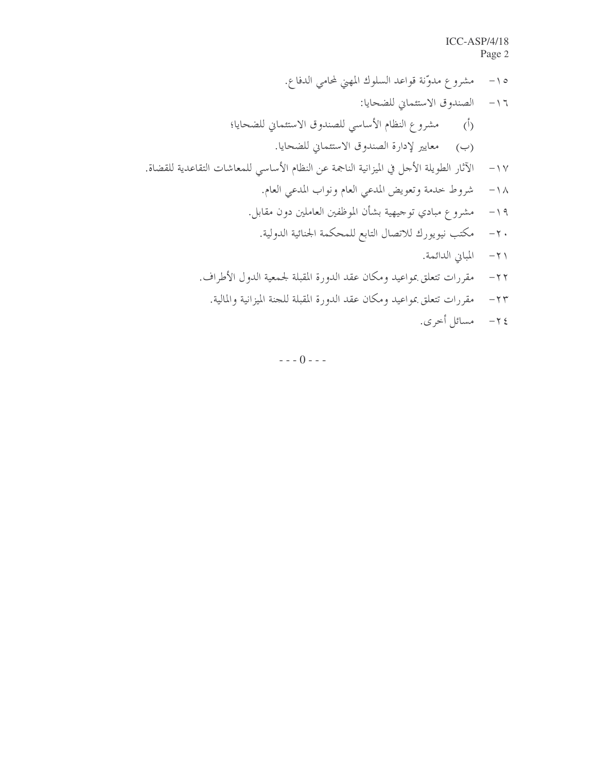.p-+ O(b mYBq5 +:/8j+(p( "! U-fK5 g-@h+Z4 "L X-fK5 g-@h+Z45 O@-@r-\_Z p( W2V .-fK5 g-@h+Z4 )\*s t
-M( WEV .)-K95 8
+:-9d -?-M5 O@-@r-\_Z :8u-Z 8\$c\$BI 0;85
` \*-Tv "] .r-M O:+BEr-M O:+BQ M8(+A w? " .0N-9(C5(-M CRxB1N8\$Y\$;-D(p( "a .8\$ + 8\$%-Z[8Hf5 yN---43 q\*
\$G -H( .8%+ -DB " .& '+ 8\$M[ 85D9B)\*+ +9:-H(+\$:zS5M-d \*9( .8\$ -B8\$c\$B8Z{5 85D9B)\*+ +9:-H(+\$:zS5M-d \*9( .|A2 0%-( =

 $- - 0 - -$